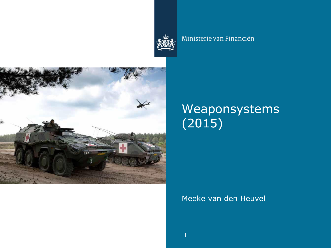

#### Ministerie van Financiën



# Weaponsystems (2015)

#### Meeke van den Heuvel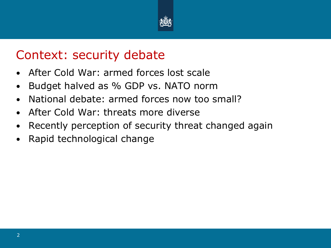

### Context: security debate

- After Cold War: armed forces lost scale
- Budget halved as % GDP vs. NATO norm
- National debate: armed forces now too small?
- After Cold War: threats more diverse
- Recently perception of security threat changed again
- Rapid technological change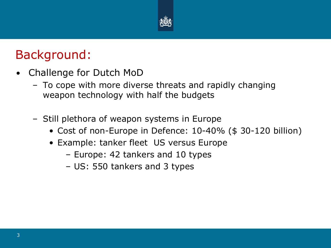

## Background:

- Challenge for Dutch MoD
	- To cope with more diverse threats and rapidly changing weapon technology with half the budgets
	- Still plethora of weapon systems in Europe
		- Cost of non-Europe in Defence: 10-40% (\$ 30-120 billion)
		- Example: tanker fleet US versus Europe
			- Europe: 42 tankers and 10 types
			- US: 550 tankers and 3 types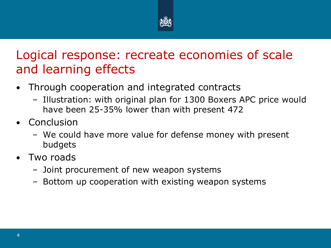

## Logical response: recreate economies of scale and learning effects

- Through cooperation and integrated contracts
	- Illustration: with original plan for 1300 Boxers APC price would have been 25-35% lower than with present 472
- **Conclusion** 
	- We could have more value for defense money with present budgets
- Two roads
	- Joint procurement of new weapon systems
	- Bottom up cooperation with existing weapon systems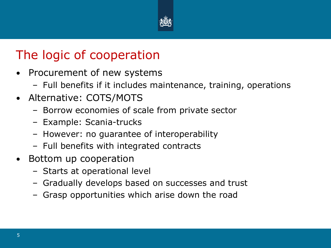

# The logic of cooperation

- Procurement of new systems
	- Full benefits if it includes maintenance, training, operations
- Alternative: COTS/MOTS
	- Borrow economies of scale from private sector
	- Example: Scania-trucks
	- However: no guarantee of interoperability
	- Full benefits with integrated contracts
- Bottom up cooperation
	- Starts at operational level
	- Gradually develops based on successes and trust
	- Grasp opportunities which arise down the road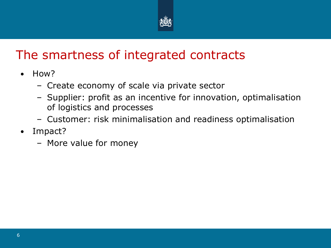

# The smartness of integrated contracts

- How?
	- Create economy of scale via private sector
	- Supplier: profit as an incentive for innovation, optimalisation of logistics and processes
	- Customer: risk minimalisation and readiness optimalisation
- Impact?
	- More value for money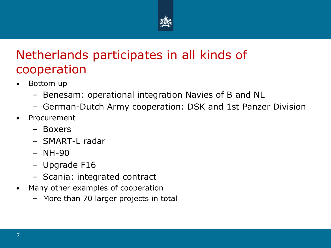

## Netherlands participates in all kinds of cooperation

- Bottom up
	- Benesam: operational integration Navies of B and NL
	- German-Dutch Army cooperation: DSK and 1st Panzer Division
- **Procurement** 
	- Boxers
	- SMART-L radar
	- NH-90
	- Upgrade F16
	- Scania: integrated contract
- Many other examples of cooperation
	- More than 70 larger projects in total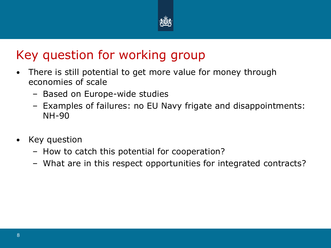

## Key question for working group

- There is still potential to get more value for money through economies of scale
	- Based on Europe-wide studies
	- Examples of failures: no EU Navy frigate and disappointments: NH-90
- Key question
	- How to catch this potential for cooperation?
	- What are in this respect opportunities for integrated contracts?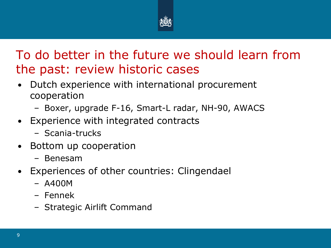

# To do better in the future we should learn from the past: review historic cases

- Dutch experience with international procurement cooperation
	- Boxer, upgrade F-16, Smart-L radar, NH-90, AWACS
- Experience with integrated contracts
	- Scania-trucks
- Bottom up cooperation
	- Benesam
- Experiences of other countries: Clingendael
	- A400M
	- Fennek
	- Strategic Airlift Command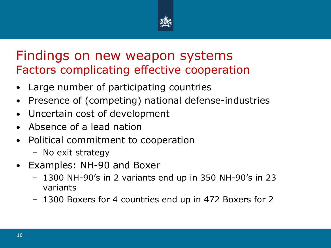

#### Findings on new weapon systems Factors complicating effective cooperation

- Large number of participating countries
- Presence of (competing) national defense-industries
- Uncertain cost of development
- Absence of a lead nation
- Political commitment to cooperation
	- No exit strategy
- Examples: NH-90 and Boxer
	- 1300 NH-90's in 2 variants end up in 350 NH-90's in 23 variants
	- 1300 Boxers for 4 countries end up in 472 Boxers for 2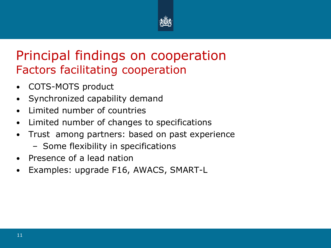

### Principal findings on cooperation Factors facilitating cooperation

- COTS-MOTS product
- Synchronized capability demand
- Limited number of countries
- Limited number of changes to specifications
- Trust among partners: based on past experience
	- Some flexibility in specifications
- Presence of a lead nation
- Examples: upgrade F16, AWACS, SMART-L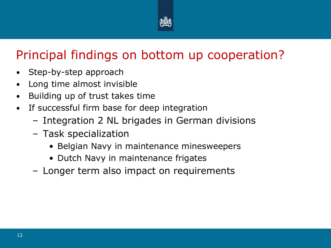

# Principal findings on bottom up cooperation?

- Step-by-step approach
- Long time almost invisible
- Building up of trust takes time
- If successful firm base for deep integration
	- Integration 2 NL brigades in German divisions
	- Task specialization
		- Belgian Navy in maintenance minesweepers
		- Dutch Navy in maintenance frigates
	- Longer term also impact on requirements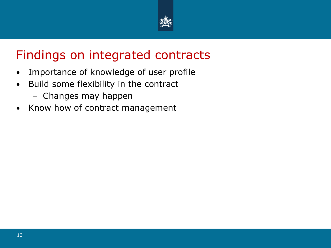

## Findings on integrated contracts

- Importance of knowledge of user profile
- Build some flexibility in the contract
	- Changes may happen
- Know how of contract management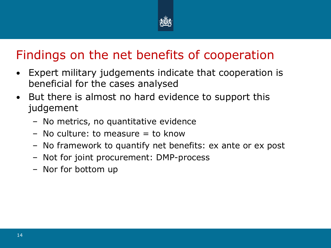

# Findings on the net benefits of cooperation

- Expert military judgements indicate that cooperation is beneficial for the cases analysed
- But there is almost no hard evidence to support this judgement
	- No metrics, no quantitative evidence
	- $-$  No culture: to measure  $=$  to know
	- No framework to quantify net benefits: ex ante or ex post
	- Not for joint procurement: DMP-process
	- Nor for bottom up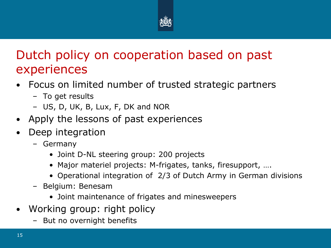

## Dutch policy on cooperation based on past experiences

- Focus on limited number of trusted strategic partners
	- To get results
	- US, D, UK, B, Lux, F, DK and NOR
- Apply the lessons of past experiences
- Deep integration
	- Germany
		- Joint D-NL steering group: 200 projects
		- Major materiel projects: M-frigates, tanks, firesupport, ….
		- Operational integration of 2/3 of Dutch Army in German divisions
	- Belgium: Benesam
		- Joint maintenance of frigates and minesweepers
- Working group: right policy
	- But no overnight benefits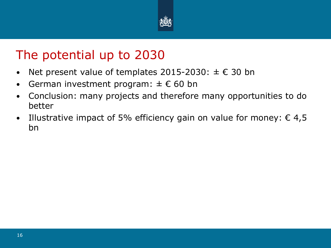

### The potential up to 2030

- Net present value of templates 2015-2030:  $\pm \in$  30 bn
- German investment program:  $\pm \in 60$  bn
- Conclusion: many projects and therefore many opportunities to do better
- Illustrative impact of 5% efficiency gain on value for money:  $\epsilon$  4,5 bn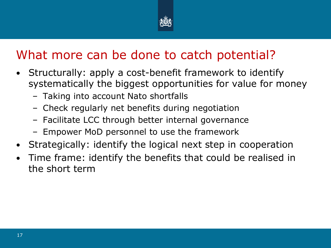

# What more can be done to catch potential?

- Structurally: apply a cost-benefit framework to identify systematically the biggest opportunities for value for money
	- Taking into account Nato shortfalls
	- Check regularly net benefits during negotiation
	- Facilitate LCC through better internal governance
	- Empower MoD personnel to use the framework
- Strategically: identify the logical next step in cooperation
- Time frame: identify the benefits that could be realised in the short term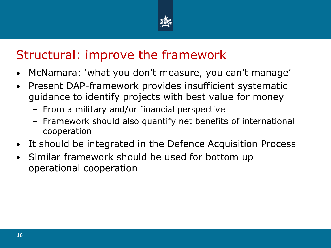

# Structural: improve the framework

- McNamara: 'what you don't measure, you can't manage'
- Present DAP-framework provides insufficient systematic guidance to identify projects with best value for money
	- From a military and/or financial perspective
	- Framework should also quantify net benefits of international cooperation
- It should be integrated in the Defence Acquisition Process
- Similar framework should be used for bottom up operational cooperation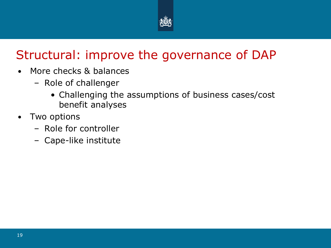

# Structural: improve the governance of DAP

- More checks & balances
	- Role of challenger
		- Challenging the assumptions of business cases/cost benefit analyses
- Two options
	- Role for controller
	- Cape-like institute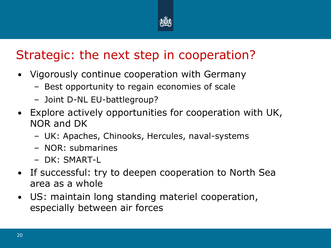

# Strategic: the next step in cooperation?

- Vigorously continue cooperation with Germany
	- Best opportunity to regain economies of scale
	- Joint D-NL EU-battlegroup?
- Explore actively opportunities for cooperation with UK, NOR and DK
	- UK: Apaches, Chinooks, Hercules, naval-systems
	- NOR: submarines
	- DK: SMART-L
- If successful: try to deepen cooperation to North Sea area as a whole
- US: maintain long standing materiel cooperation, especially between air forces